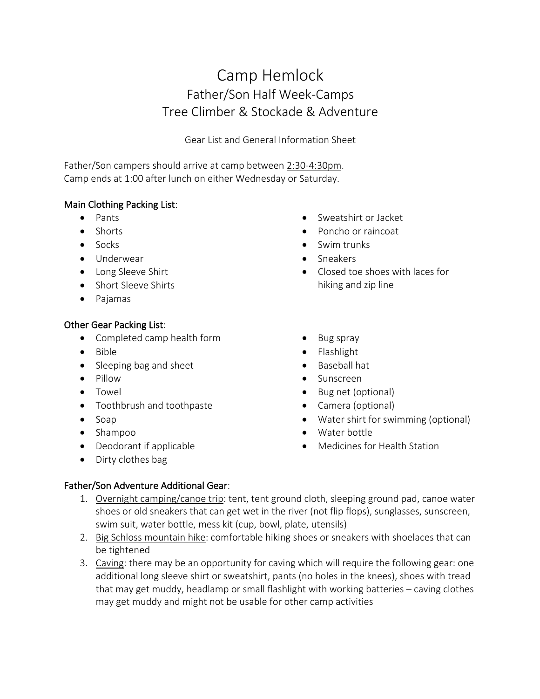# Camp Hemlock Father/Son Half Week-Camps Tree Climber & Stockade & Adventure

Gear List and General Information Sheet

Father/Son campers should arrive at camp between 2:30-4:30pm. Camp ends at 1:00 after lunch on either Wednesday or Saturday.

#### Main Clothing Packing List:

- Pants
- Shorts
- Socks
- Underwear
- Long Sleeve Shirt
- Short Sleeve Shirts
- Pajamas

#### Other Gear Packing List:

- Completed camp health form
- Bible
- Sleeping bag and sheet
- Pillow
- Towel
- Toothbrush and toothpaste
- Soap
- Shampoo
- Deodorant if applicable
- Dirty clothes bag
- Sweatshirt or Jacket
- Poncho or raincoat
- Swim trunks
- Sneakers
- Closed toe shoes with laces for hiking and zip line
- Bug spray
- Flashlight
- Baseball hat
- Sunscreen
- Bug net (optional)
- Camera (optional)
- Water shirt for swimming (optional)
- Water bottle
- Medicines for Health Station

## Father/Son Adventure Additional Gear:

- 1. Overnight camping/canoe trip: tent, tent ground cloth, sleeping ground pad, canoe water shoes or old sneakers that can get wet in the river (not flip flops), sunglasses, sunscreen, swim suit, water bottle, mess kit (cup, bowl, plate, utensils)
- 2. Big Schloss mountain hike: comfortable hiking shoes or sneakers with shoelaces that can be tightened
- 3. Caving: there may be an opportunity for caving which will require the following gear: one additional long sleeve shirt or sweatshirt, pants (no holes in the knees), shoes with tread that may get muddy, headlamp or small flashlight with working batteries – caving clothes may get muddy and might not be usable for other camp activities